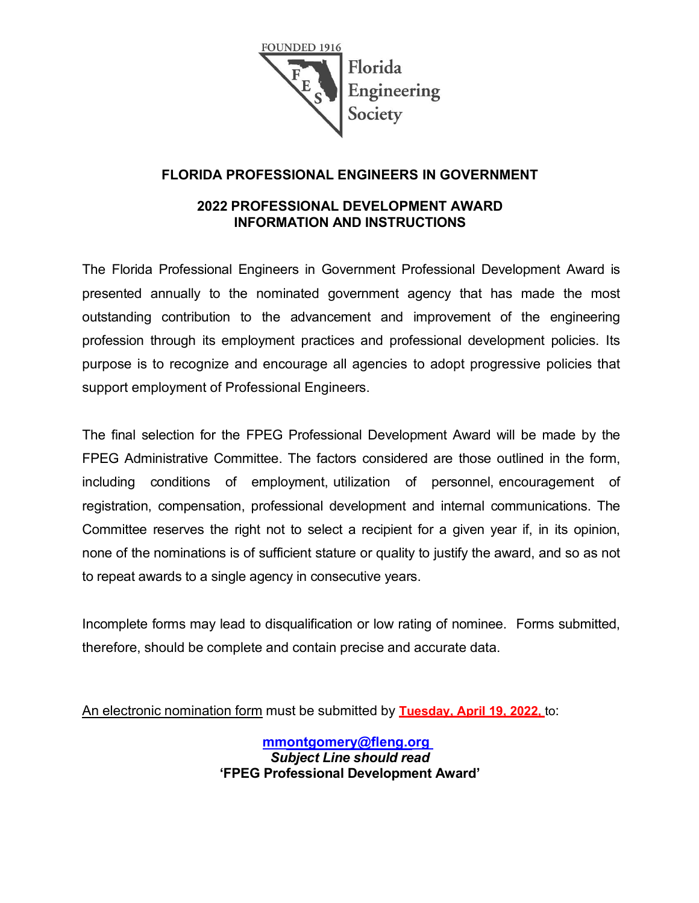

### **FLORIDA PROFESSIONAL ENGINEERS IN GOVERNMENT**

#### **2022 PROFESSIONAL DEVELOPMENT AWARD INFORMATION AND INSTRUCTIONS**

The Florida Professional Engineers in Government Professional Development Award is presented annually to the nominated government agency that has made the most outstanding contribution to the advancement and improvement of the engineering profession through its employment practices and professional development policies. Its purpose is to recognize and encourage all agencies to adopt progressive policies that support employment of Professional Engineers.

The final selection for the FPEG Professional Development Award will be made by the FPEG Administrative Committee. The factors considered are those outlined in the form, including conditions of employment, utilization of personnel, encouragement of registration, compensation, professional development and internal communications. The Committee reserves the right not to select a recipient for a given year if, in its opinion, none of the nominations is of sufficient stature or quality to justify the award, and so as not to repeat awards to a single agency in consecutive years.

Incomplete forms may lead to disqualification or low rating of nominee. Forms submitted, therefore, should be complete and contain precise and accurate data.

An electronic nomination form must be submitted by **Tuesday, April 19, 2022,** to:

**[mmontgomery@fleng.org](mailto:mmontgomery@fleng.org)**  *Subject Line should read* **'FPEG Professional Development Award'**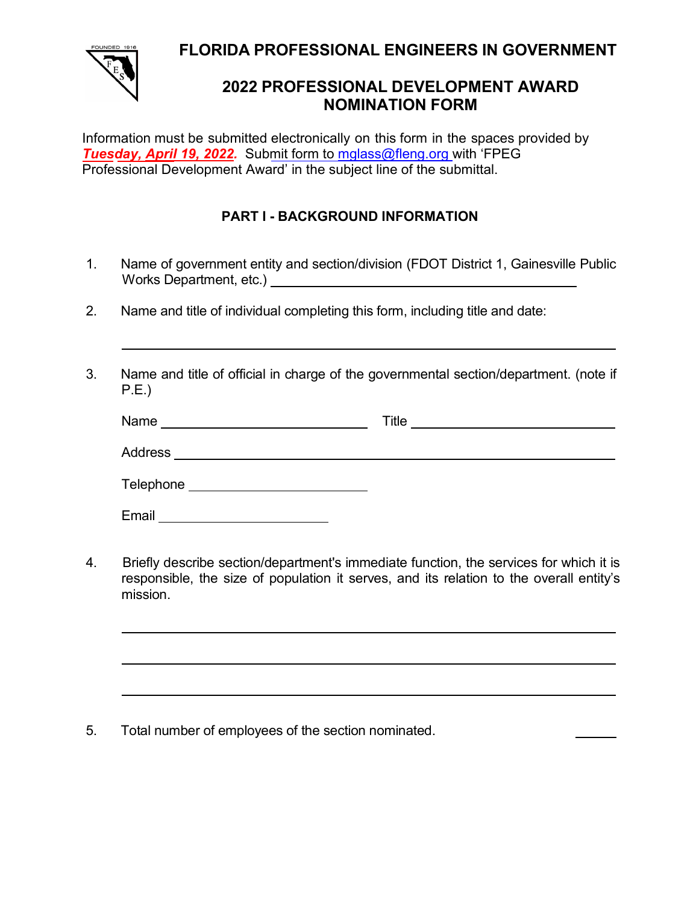**FLORIDA PROFESSIONAL ENGINEERS IN GOVERNMENT**



## **2022 PROFESSIONAL DEVELOPMENT AWARD NOMINATION FORM**

Information must be submitted electronically on this form in the spaces provided by *Tuesday, April 19, 2022.* Submit form to [mglass@fleng.org w](mailto:mglass@fleng.org)ith 'FPEG Professional Development Award' in the subject line of the submittal.

### **PART I - BACKGROUND INFORMATION**

- 1. Name of government entity and section/division (FDOT District 1, Gainesville Public Works Department, etc.)
- 2. Name and title of individual completing this form, including title and date:
- 3. Name and title of official in charge of the governmental section/department. (note if P.E.)

| Name      | Title |
|-----------|-------|
| Address   |       |
| Telephone |       |
| Email     |       |

4. Briefly describe section/department's immediate function, the services for which it is responsible, the size of population it serves, and its relation to the overall entity's mission.

<u> 1989 - Johann Stoff, amerikansk politiker (\* 1908)</u>

5. Total number of employees of the section nominated.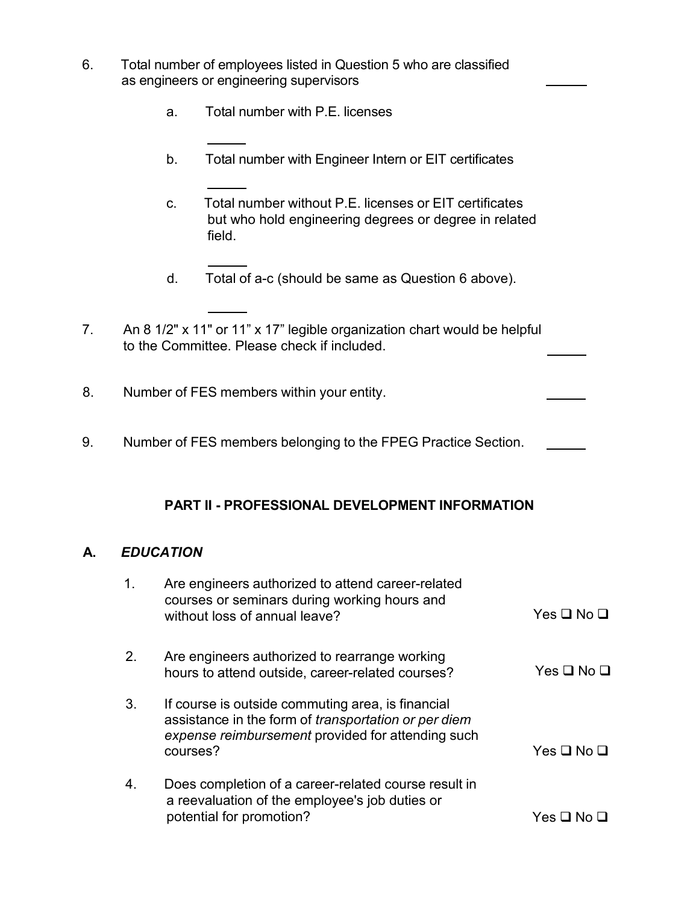- 6. Total number of employees listed in Question 5 who are classified as engineers or engineering supervisors
	- a. Total number with P.E. licenses
	- b. Total number with Engineer Intern or EIT certificates
	- c. Total number without P.E. licenses or EIT certificates but who hold engineering degrees or degree in related field.
	- d. Total of a-c (should be same as Question 6 above).
- 7. An 8 1/2" x 11" or 11" x 17" legible organization chart would be helpful to the Committee. Please check if included.
- 8. Number of FES members within your entity.
- 9. Number of FES members belonging to the FPEG Practice Section.

#### **PART II - PROFESSIONAL DEVELOPMENT INFORMATION**

#### **A.** *EDUCATION*

| $\mathbf{1}$ . | Are engineers authorized to attend career-related<br>courses or seminars during working hours and<br>without loss of annual leave?                                                | $Yes \Box No \Box$ |
|----------------|-----------------------------------------------------------------------------------------------------------------------------------------------------------------------------------|--------------------|
| 2.             | Are engineers authorized to rearrange working<br>hours to attend outside, career-related courses?                                                                                 | $Yes \Box No \Box$ |
| 3.             | If course is outside commuting area, is financial<br>assistance in the form of <i>transportation or per diem</i><br>expense reimbursement provided for attending such<br>courses? | $Yes \Box No \Box$ |
| 4.             | Does completion of a career-related course result in<br>a reevaluation of the employee's job duties or<br>potential for promotion?                                                | Yes ⊔ No           |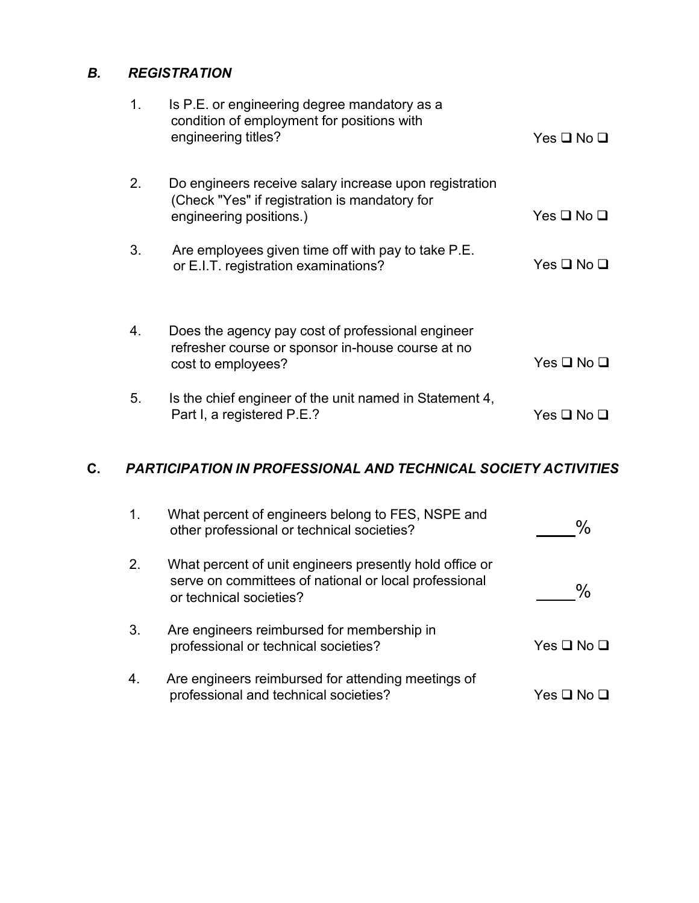### *B. REGISTRATION*

| 1. | Is P.E. or engineering degree mandatory as a<br>condition of employment for positions with<br>engineering titles?                  | Yes ❑ No ❑               |
|----|------------------------------------------------------------------------------------------------------------------------------------|--------------------------|
| 2. | Do engineers receive salary increase upon registration<br>(Check "Yes" if registration is mandatory for<br>engineering positions.) | Yes ❑ No ❑               |
| 3. | Are employees given time off with pay to take P.E.<br>or E.I.T. registration examinations?                                         | Yes <b>□</b> No <b>□</b> |
| 4. | Does the agency pay cost of professional engineer<br>refresher course or sponsor in-house course at no<br>cost to employees?       | $Yes \Box No \Box$       |
| 5. | Is the chief engineer of the unit named in Statement 4,<br>Part I, a registered P.E.?                                              | Yes ❑ No ❑               |

### **C.** *PARTICIPATION IN PROFESSIONAL AND TECHNICAL SOCIETY ACTIVITIES*

| $\mathbf 1$ . | What percent of engineers belong to FES, NSPE and<br>other professional or technical societies?                                             | $\frac{0}{0}$            |
|---------------|---------------------------------------------------------------------------------------------------------------------------------------------|--------------------------|
|               | What percent of unit engineers presently hold office or<br>serve on committees of national or local professional<br>or technical societies? | $\frac{0}{0}$            |
| 3.            | Are engineers reimbursed for membership in<br>professional or technical societies?                                                          | Yes <b>□</b> No <b>□</b> |
| 4.            | Are engineers reimbursed for attending meetings of<br>professional and technical societies?                                                 | Yes ⊔                    |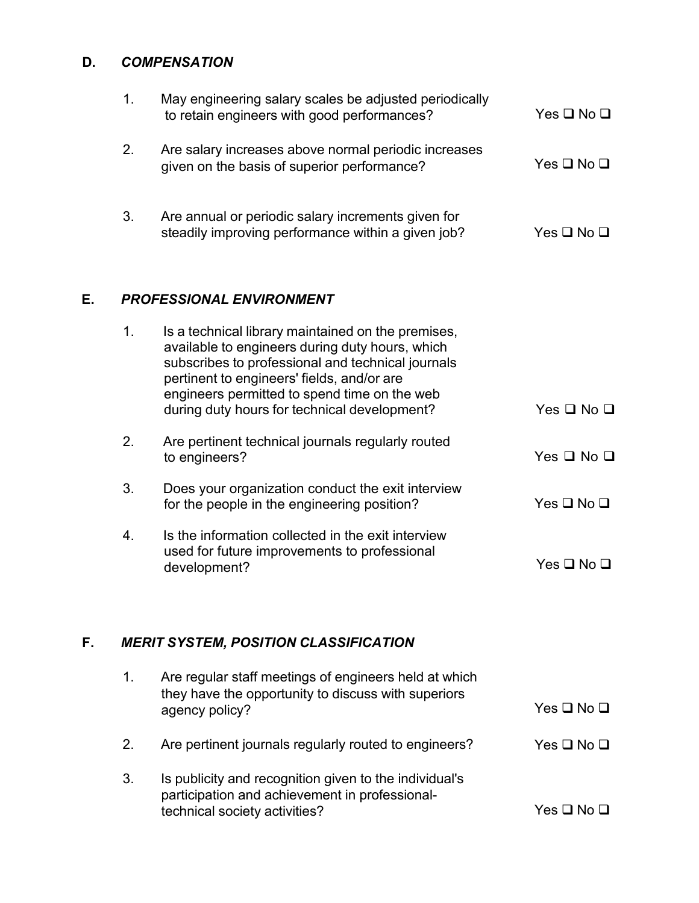## **D.** *COMPENSATION*

| E. |    | <b>PROFESSIONAL ENVIRONMENT</b>                                                                          |            |
|----|----|----------------------------------------------------------------------------------------------------------|------------|
|    | 3. | Are annual or periodic salary increments given for<br>steadily improving performance within a given job? | Yes □ No □ |
|    | 2. | Are salary increases above normal periodic increases<br>given on the basis of superior performance?      | Yes ❑ No ❑ |
|    | 1. | May engineering salary scales be adjusted periodically<br>to retain engineers with good performances?    | Yes □ No □ |

| $\mathbf{1}$ . | Is a technical library maintained on the premises,<br>available to engineers during duty hours, which<br>subscribes to professional and technical journals<br>pertinent to engineers' fields, and/or are<br>engineers permitted to spend time on the web<br>during duty hours for technical development? | Yes <b>□</b> No <b>□</b> |
|----------------|----------------------------------------------------------------------------------------------------------------------------------------------------------------------------------------------------------------------------------------------------------------------------------------------------------|--------------------------|
| 2.             | Are pertinent technical journals regularly routed<br>to engineers?                                                                                                                                                                                                                                       | $Yes \square No \square$ |
| 3.             | Does your organization conduct the exit interview<br>for the people in the engineering position?                                                                                                                                                                                                         | $Yes \square No \square$ |
| 4.             | Is the information collected in the exit interview<br>used for future improvements to professional<br>development?                                                                                                                                                                                       | Yes ❑ No ❑               |
|                |                                                                                                                                                                                                                                                                                                          |                          |

# **F.** *MERIT SYSTEM, POSITION CLASSIFICATION*

| 1. | Are regular staff meetings of engineers held at which<br>they have the opportunity to discuss with superiors<br>agency policy?            | $Yes \square No \square$ |
|----|-------------------------------------------------------------------------------------------------------------------------------------------|--------------------------|
| 2. | Are pertinent journals regularly routed to engineers?                                                                                     | $Yes \Box No \Box$       |
| 3. | Is publicity and recognition given to the individual's<br>participation and achievement in professional-<br>technical society activities? | Yes □ No □               |